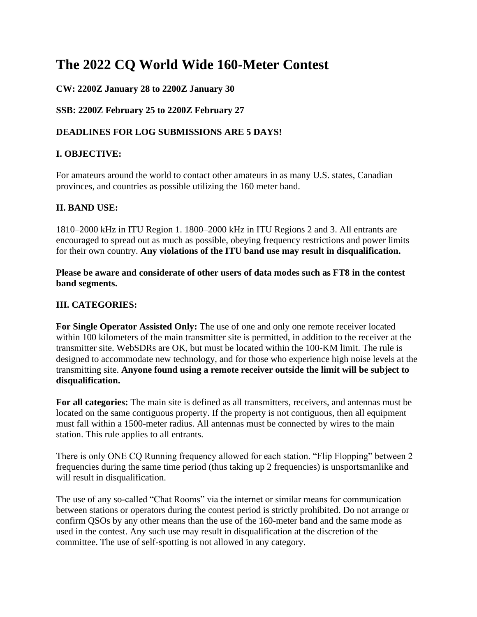# **The 2022 CQ World Wide 160-Meter Contest**

# **CW: 2200Z January 28 to 2200Z January 30**

#### **SSB: 2200Z February 25 to 2200Z February 27**

## **DEADLINES FOR LOG SUBMISSIONS ARE 5 DAYS!**

# **I. OBJECTIVE:**

For amateurs around the world to contact other amateurs in as many U.S. states, Canadian provinces, and countries as possible utilizing the 160 meter band.

# **II. BAND USE:**

1810–2000 kHz in ITU Region 1. 1800–2000 kHz in ITU Regions 2 and 3. All entrants are encouraged to spread out as much as possible, obeying frequency restrictions and power limits for their own country. **Any violations of the ITU band use may result in disqualification.**

**Please be aware and considerate of other users of data modes such as FT8 in the contest band segments.**

## **III. CATEGORIES:**

**For Single Operator Assisted Only:** The use of one and only one remote receiver located within 100 kilometers of the main transmitter site is permitted, in addition to the receiver at the transmitter site. WebSDRs are OK, but must be located within the 100-KM limit. The rule is designed to accommodate new technology, and for those who experience high noise levels at the transmitting site. **Anyone found using a remote receiver outside the limit will be subject to disqualification.** 

**For all categories:** The main site is defined as all transmitters, receivers, and antennas must be located on the same contiguous property. If the property is not contiguous, then all equipment must fall within a 1500-meter radius. All antennas must be connected by wires to the main station. This rule applies to all entrants.

There is only ONE CQ Running frequency allowed for each station. "Flip Flopping" between 2 frequencies during the same time period (thus taking up 2 frequencies) is unsportsmanlike and will result in disqualification.

The use of any so-called "Chat Rooms" via the internet or similar means for communication between stations or operators during the contest period is strictly prohibited. Do not arrange or confirm QSOs by any other means than the use of the 160-meter band and the same mode as used in the contest. Any such use may result in disqualification at the discretion of the committee. The use of self-spotting is not allowed in any category.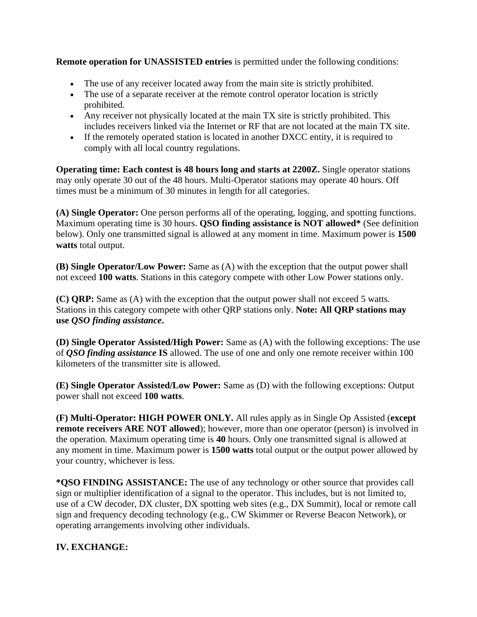**Remote operation for UNASSISTED entries** is permitted under the following conditions:

- The use of any receiver located away from the main site is strictly prohibited.
- The use of a separate receiver at the remote control operator location is strictly prohibited.
- Any receiver not physically located at the main TX site is strictly prohibited. This includes receivers linked via the Internet or RF that are not located at the main TX site.
- If the remotely operated station is located in another DXCC entity, it is required to comply with all local country regulations.

**Operating time: Each contest is 48 hours long and starts at 2200Z.** Single operator stations may only operate 30 out of the 48 hours. Multi-Operator stations may operate 40 hours. Off times must be a minimum of 30 minutes in length for all categories.

**(A) Single Operator:** One person performs all of the operating, logging, and spotting functions. Maximum operating time is 30 hours. **QSO finding assistance is NOT allowed\*** (See definition below). Only one transmitted signal is allowed at any moment in time. Maximum power is **1500 watts** total output.

**(B) Single Operator/Low Power:** Same as (A) with the exception that the output power shall not exceed **100 watts**. Stations in this category compete with other Low Power stations only.

**(C) QRP:** Same as (A) with the exception that the output power shall not exceed 5 watts. Stations in this category compete with other QRP stations only. **Note: All QRP stations may use** *QSO finding assistance***.**

**(D) Single Operator Assisted/High Power:** Same as (A) with the following exceptions: The use of *QSO finding assistance* **IS** allowed. The use of one and only one remote receiver within 100 kilometers of the transmitter site is allowed.

**(E) Single Operator Assisted/Low Power:** Same as (D) with the following exceptions: Output power shall not exceed **100 watts**.

**(F) Multi-Operator: HIGH POWER ONLY.** All rules apply as in Single Op Assisted (**except remote receivers ARE NOT allowed**); however, more than one operator (person) is involved in the operation. Maximum operating time is **40** hours. Only one transmitted signal is allowed at any moment in time. Maximum power is **1500 watts** total output or the output power allowed by your country, whichever is less.

**\*QSO FINDING ASSISTANCE:** The use of any technology or other source that provides call sign or multiplier identification of a signal to the operator. This includes, but is not limited to, use of a CW decoder, DX cluster, DX spotting web sites (e.g., DX Summit), local or remote call sign and frequency decoding technology (e.g., CW Skimmer or Reverse Beacon Network), or operating arrangements involving other individuals.

# **IV. EXCHANGE:**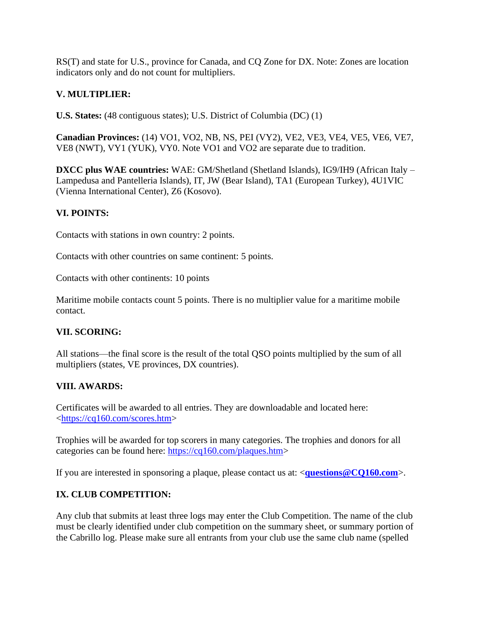RS(T) and state for U.S., province for Canada, and CQ Zone for DX. Note: Zones are location indicators only and do not count for multipliers.

## **V. MULTIPLIER:**

**U.S. States:** (48 contiguous states); U.S. District of Columbia (DC) (1)

**Canadian Provinces:** (14) VO1, VO2, NB, NS, PEI (VY2), VE2, VE3, VE4, VE5, VE6, VE7, VE8 (NWT), VY1 (YUK), VY0. Note VO1 and VO2 are separate due to tradition.

**DXCC plus WAE countries:** WAE: GM/Shetland (Shetland Islands), IG9/IH9 (African Italy – Lampedusa and Pantelleria Islands), IT, JW (Bear Island), TA1 (European Turkey), 4U1VIC (Vienna International Center), Z6 (Kosovo).

#### **VI. POINTS:**

Contacts with stations in own country: 2 points.

Contacts with other countries on same continent: 5 points.

Contacts with other continents: 10 points

Maritime mobile contacts count 5 points. There is no multiplier value for a maritime mobile contact.

#### **VII. SCORING:**

All stations—the final score is the result of the total QSO points multiplied by the sum of all multipliers (states, VE provinces, DX countries).

# **VIII. AWARDS:**

Certificates will be awarded to all entries. They are downloadable and located here: [<https://cq160.com/scores.htm>](https://cq160.com/scores.htm)

Trophies will be awarded for top scorers in many categories. The trophies and donors for all categories can be found here: [https://cq160.com/plaques.htm>](https://cq160.com/plaques.htm)

If you are interested in sponsoring a plaque, please contact us at: <**[questions@CQ160.com](mailto:questions@CQ160.com)**>.

#### **IX. CLUB COMPETITION:**

Any club that submits at least three logs may enter the Club Competition. The name of the club must be clearly identified under club competition on the summary sheet, or summary portion of the Cabrillo log. Please make sure all entrants from your club use the same club name (spelled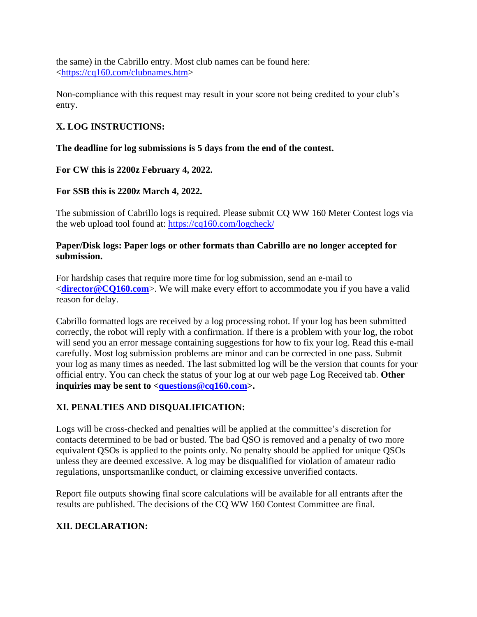the same) in the Cabrillo entry. Most club names can be found here: [<https://cq160.com/clubnames.htm>](https://cq160.com/clubnames.htm)

Non-compliance with this request may result in your score not being credited to your club's entry.

# **X. LOG INSTRUCTIONS:**

#### **The deadline for log submissions is 5 days from the end of the contest.**

**For CW this is 2200z February 4, 2022.**

# **For SSB this is 2200z March 4, 2022.**

The submission of Cabrillo logs is required. Please submit CQ WW 160 Meter Contest logs via the web upload tool found at:<https://cq160.com/logcheck/>

#### **Paper/Disk logs: Paper logs or other formats than Cabrillo are no longer accepted for submission.**

For hardship cases that require more time for log submission, send an e-mail to <**[director@CQ160.com](mailto:director@CQ160.com)**>. We will make every effort to accommodate you if you have a valid reason for delay.

Cabrillo formatted logs are received by a log processing robot. If your log has been submitted correctly, the robot will reply with a confirmation. If there is a problem with your log, the robot will send you an error message containing suggestions for how to fix your log. Read this e-mail carefully. Most log submission problems are minor and can be corrected in one pass. Submit your log as many times as needed. The last submitted log will be the version that counts for your official entry. You can check the status of your log at our web page Log Received tab. **Other inquiries may be sent to [<questions@cq160.com>](mailto:questions@cq160.com).**

# **XI. PENALTIES AND DISQUALIFICATION:**

Logs will be cross-checked and penalties will be applied at the committee's discretion for contacts determined to be bad or busted. The bad QSO is removed and a penalty of two more equivalent QSOs is applied to the points only. No penalty should be applied for unique QSOs unless they are deemed excessive. A log may be disqualified for violation of amateur radio regulations, unsportsmanlike conduct, or claiming excessive unverified contacts.

Report file outputs showing final score calculations will be available for all entrants after the results are published. The decisions of the CQ WW 160 Contest Committee are final.

# **XII. DECLARATION:**